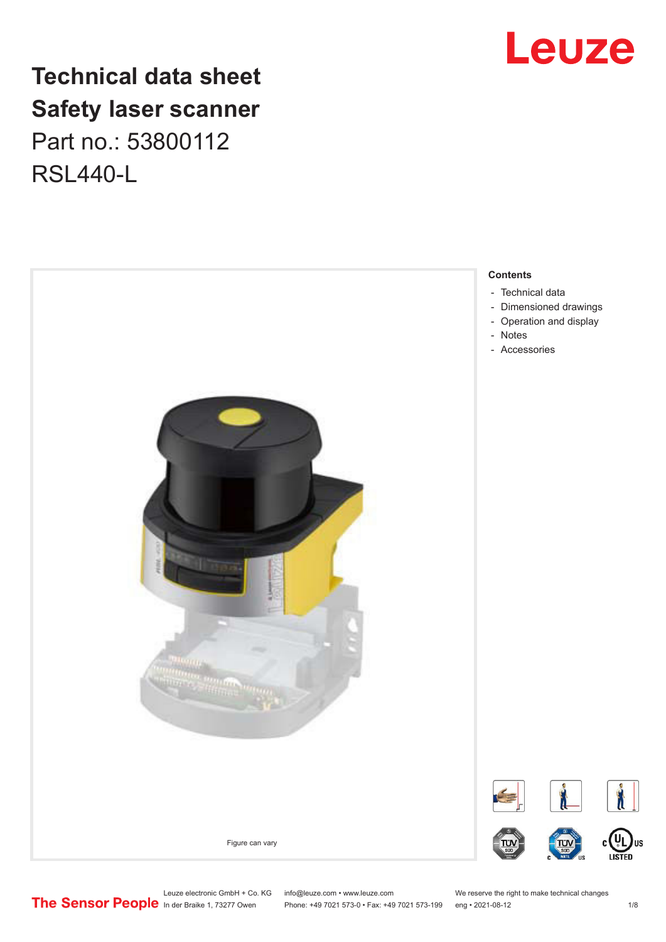## **Technical data sheet Safety laser scanner** Part no.: 53800112 RSL440-L





Leuze electronic GmbH + Co. KG info@leuze.com • www.leuze.com We reserve the right to make technical changes<br>
The Sensor People in der Braike 1, 73277 Owen Phone: +49 7021 573-0 • Fax: +49 7021 573-199 eng • 2021-08-12

Phone: +49 7021 573-0 • Fax: +49 7021 573-199 eng • 2021-08-12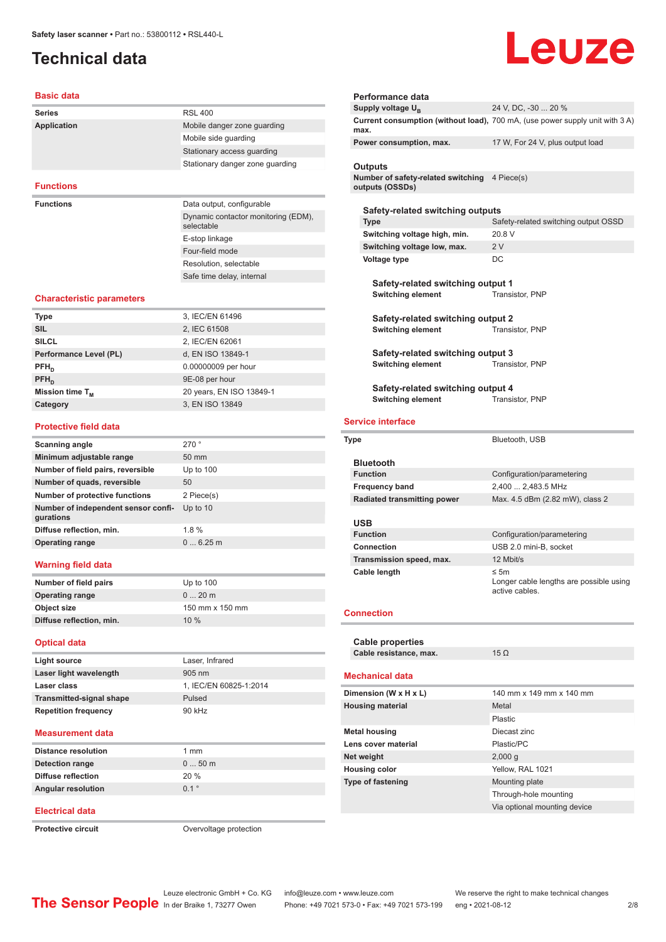## <span id="page-1-0"></span>**Technical data**

# Leuze

#### **Basic data**

| <b>Series</b>      | <b>RSL 400</b>                                    |
|--------------------|---------------------------------------------------|
| <b>Application</b> | Mobile danger zone quarding                       |
|                    | Mobile side quarding                              |
|                    | Stationary access quarding                        |
|                    | Stationary danger zone guarding                   |
|                    |                                                   |
| <b>Functions</b>   |                                                   |
|                    |                                                   |
| <b>Functions</b>   | Data output, configurable                         |
|                    | Dynamic contactor monitoring (EDM),<br>selectable |
|                    | E-stop linkage                                    |
|                    | Four-field mode                                   |
|                    | Resolution, selectable                            |

#### **Characteristic parameters**

| <b>Type</b>            | 3, IEC/EN 61496          |
|------------------------|--------------------------|
| <b>SIL</b>             | 2, IEC 61508             |
| <b>SILCL</b>           | 2, IEC/EN 62061          |
| Performance Level (PL) | d, EN ISO 13849-1        |
| $PFH_n$                | 0.00000009 per hour      |
| $PFH_n$                | 9E-08 per hour           |
| Mission time $T_{M}$   | 20 years, EN ISO 13849-1 |
| Category               | 3, EN ISO 13849          |
|                        |                          |

#### **Protective field data**

| Scanning angle                                   | 270°            |
|--------------------------------------------------|-----------------|
| Minimum adjustable range                         | $50 \text{ mm}$ |
| Number of field pairs, reversible                | Up to $100$     |
| Number of quads, reversible                      | 50              |
| <b>Number of protective functions</b>            | 2 Piece(s)      |
| Number of independent sensor confi-<br>gurations | Up to $10$      |
| Diffuse reflection, min.                         | 1.8%            |
| <b>Operating range</b>                           | 06.25m          |
|                                                  |                 |

#### **Warning field data**

| Number of field pairs    | Up to $100$     |
|--------------------------|-----------------|
| <b>Operating range</b>   | $020$ m         |
| Object size              | 150 mm x 150 mm |
| Diffuse reflection, min. | 10%             |

#### **Optical data**

| Light source                    | Laser, Infrared        |
|---------------------------------|------------------------|
| Laser light wavelength          | $905 \text{ nm}$       |
| Laser class                     | 1, IEC/EN 60825-1:2014 |
| <b>Transmitted-signal shape</b> | Pulsed                 |
| <b>Repetition frequency</b>     | 90 kHz                 |
|                                 |                        |

#### **Measurement data**

| $050$ m |
|---------|
|         |
| 20%     |
| 01°     |
|         |

#### **Electrical data**

**Protective circuit COVER 1999** Overvoltage protection

| Performance data                                                 |                                                                              |
|------------------------------------------------------------------|------------------------------------------------------------------------------|
| Supply voltage U <sub>B</sub>                                    | 24 V, DC, -30  20 %                                                          |
| max.                                                             | Current consumption (without load), 700 mA, (use power supply unit with 3 A) |
| Power consumption, max.                                          | 17 W, For 24 V, plus output load                                             |
| <b>Outputs</b>                                                   |                                                                              |
| Number of safety-related switching 4 Piece(s)<br>outputs (OSSDs) |                                                                              |
| Safety-related switching outputs                                 |                                                                              |
| <b>Type</b>                                                      | Safety-related switching output OSSD                                         |
| Switching voltage high, min.                                     | 20.8 V                                                                       |
| Switching voltage low, max.                                      | 2V                                                                           |
| <b>Voltage type</b>                                              | DC                                                                           |
| Safety-related switching output 1<br><b>Switching element</b>    | Transistor, PNP                                                              |
| Safety-related switching output 2<br><b>Switching element</b>    | Transistor, PNP                                                              |
| Safety-related switching output 3<br><b>Switching element</b>    | Transistor, PNP                                                              |
| Orange and the second constitution of the control of the         |                                                                              |

**Safety-related switching output 4<br>Switching element** Transistor, PNP **Switching element** 

#### **Service interface**

| <b>Type</b>                        | Bluetooth, USB                                                         |
|------------------------------------|------------------------------------------------------------------------|
| <b>Bluetooth</b>                   |                                                                        |
| <b>Function</b>                    | Configuration/parametering                                             |
| <b>Frequency band</b>              | 2.400  2.483.5 MHz                                                     |
| <b>Radiated transmitting power</b> | Max. 4.5 dBm (2.82 mW), class 2                                        |
| <b>USB</b>                         |                                                                        |
| <b>Function</b>                    | Configuration/parametering                                             |
| Connection                         | USB 2.0 mini-B, socket                                                 |
| Transmission speed, max.           | 12 Mbit/s                                                              |
| Cable length                       | $\leq 5m$<br>Longer cable lengths are possible using<br>active cables. |
| <b>Connection</b>                  |                                                                        |
| <b>Cable properties</b>            |                                                                        |
| Cable resistance, max.             | $15 \Omega$                                                            |
| <b>Mechanical data</b>             |                                                                        |
| Dimension (W x H x L)              | 140 mm x 149 mm x 140 mm                                               |
| <b>Housing material</b>            | Metal                                                                  |
|                                    | Plastic                                                                |
| Metal housing                      | Diecast zinc                                                           |

| <b>Metal housing</b>     | Diecast zinc                 |
|--------------------------|------------------------------|
| Lens cover material      | Plastic/PC                   |
| Net weight               | 2,000q                       |
| <b>Housing color</b>     | Yellow, RAL 1021             |
| <b>Type of fastening</b> | Mounting plate               |
|                          | Through-hole mounting        |
|                          | Via optional mounting device |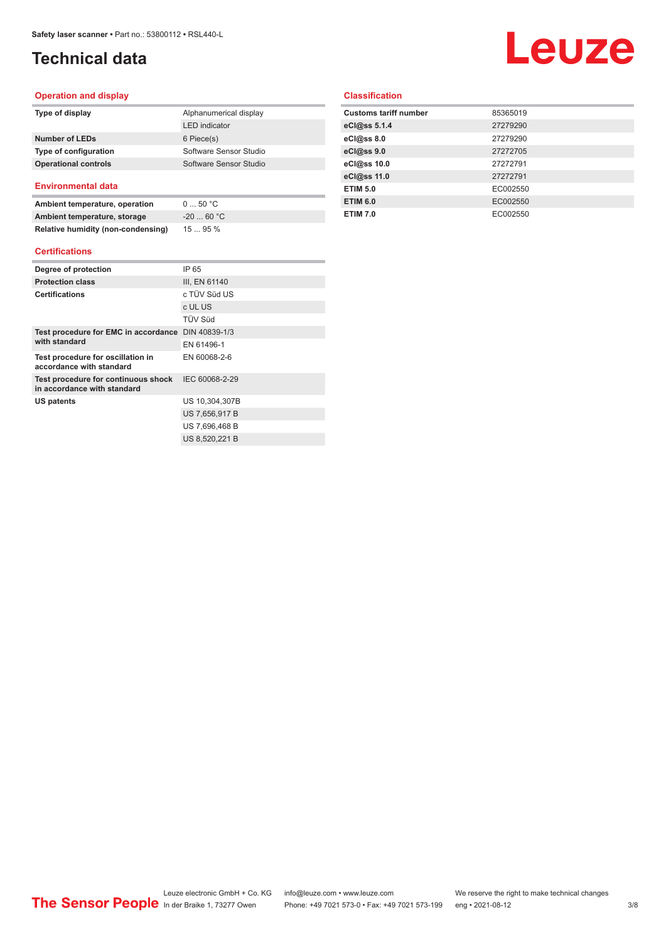## **Technical data**

## Leuze

#### **Operation and display**

| Type of display             | Alphanumerical display |
|-----------------------------|------------------------|
|                             | <b>LED</b> indicator   |
| Number of LEDs              | 6 Piece(s)             |
| Type of configuration       | Software Sensor Studio |
| <b>Operational controls</b> | Software Sensor Studio |
|                             |                        |

#### **Environmental data**

| Ambient temperature, operation     | $0 \dots 50 °C$ |
|------------------------------------|-----------------|
| Ambient temperature, storage       | $-2060 °C$      |
| Relative humidity (non-condensing) | 1595%           |

#### **Certifications**

| Degree of protection                                               | IP 65          |
|--------------------------------------------------------------------|----------------|
| <b>Protection class</b>                                            | III, EN 61140  |
| <b>Certifications</b>                                              | c TÜV Süd US   |
|                                                                    | c UL US        |
|                                                                    | TÜV Süd        |
| Test procedure for EMC in accordance DIN 40839-1/3                 |                |
| with standard                                                      | EN 61496-1     |
| Test procedure for oscillation in<br>accordance with standard      | EN 60068-2-6   |
| Test procedure for continuous shock<br>in accordance with standard | IEC 60068-2-29 |
| US patents                                                         | US 10,304,307B |
|                                                                    | US 7,656,917 B |
|                                                                    | US 7,696,468 B |
|                                                                    | US 8,520,221 B |

#### **Classification**

| 85365019 |
|----------|
| 27279290 |
| 27279290 |
| 27272705 |
| 27272791 |
| 27272791 |
| EC002550 |
| EC002550 |
| EC002550 |
|          |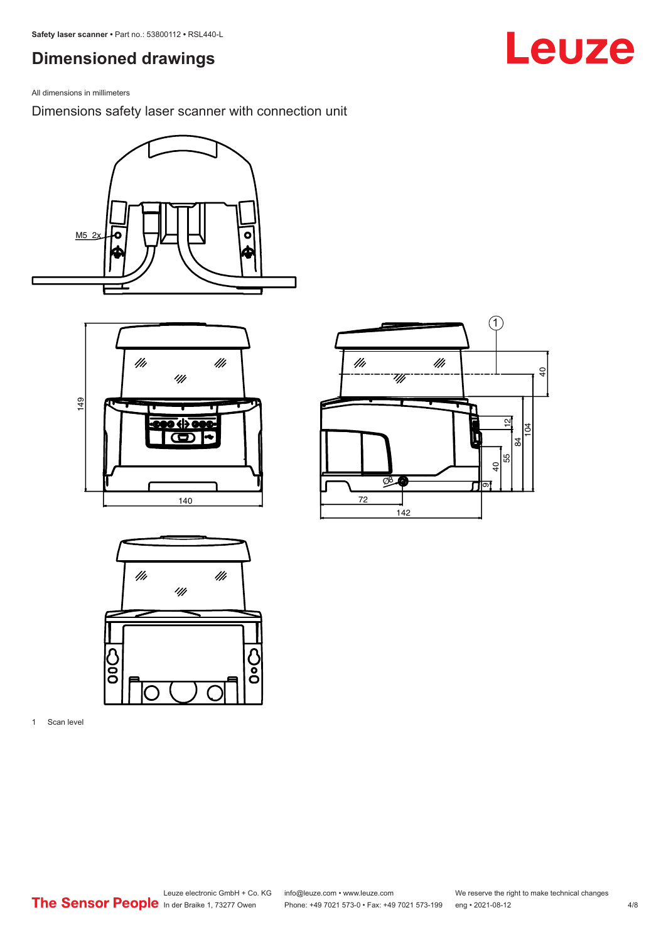## <span id="page-3-0"></span>**Dimensioned drawings**

All dimensions in millimeters

Dimensions safety laser scanner with connection unit









1 Scan level

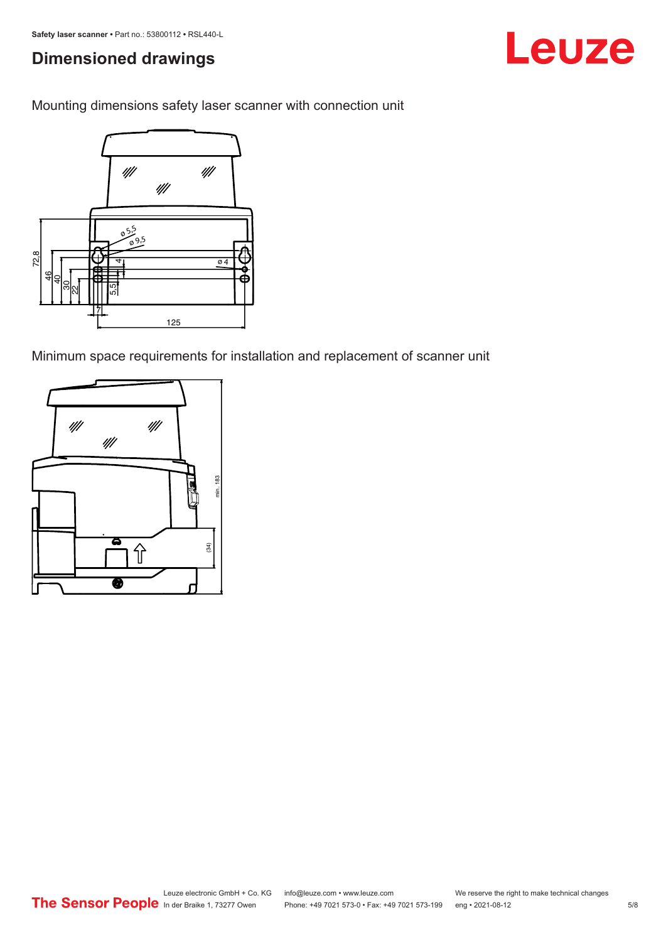## **Dimensioned drawings**

Leuze

Mounting dimensions safety laser scanner with connection unit



Minimum space requirements for installation and replacement of scanner unit

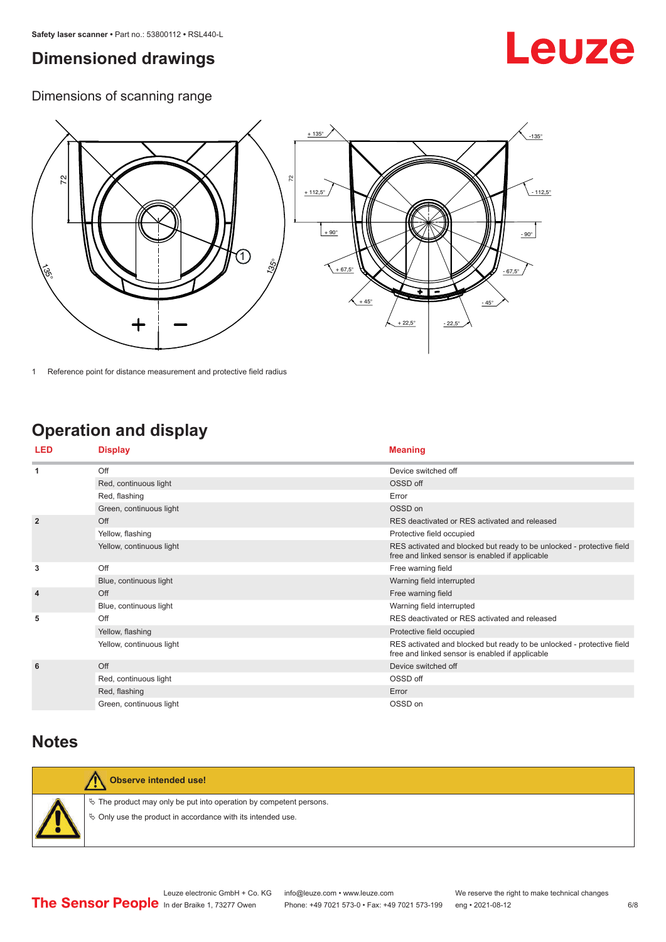## <span id="page-5-0"></span>**Dimensioned drawings**

## Leuze

Dimensions of scanning range



1 Reference point for distance measurement and protective field radius

## **Operation and display**

| <b>LED</b>     | <b>Display</b>           | <b>Meaning</b>                                                                                                           |
|----------------|--------------------------|--------------------------------------------------------------------------------------------------------------------------|
| 1              | Off                      | Device switched off                                                                                                      |
|                | Red, continuous light    | OSSD off                                                                                                                 |
|                | Red, flashing            | Error                                                                                                                    |
|                | Green, continuous light  | OSSD on                                                                                                                  |
| $\overline{2}$ | Off                      | RES deactivated or RES activated and released                                                                            |
|                | Yellow, flashing         | Protective field occupied                                                                                                |
|                | Yellow, continuous light | RES activated and blocked but ready to be unlocked - protective field<br>free and linked sensor is enabled if applicable |
| 3              | Off                      | Free warning field                                                                                                       |
|                | Blue, continuous light   | Warning field interrupted                                                                                                |
| $\overline{4}$ | Off                      | Free warning field                                                                                                       |
|                | Blue, continuous light   | Warning field interrupted                                                                                                |
| 5              | Off                      | RES deactivated or RES activated and released                                                                            |
|                | Yellow, flashing         | Protective field occupied                                                                                                |
|                | Yellow, continuous light | RES activated and blocked but ready to be unlocked - protective field<br>free and linked sensor is enabled if applicable |
| 6              | Off                      | Device switched off                                                                                                      |
|                | Red, continuous light    | OSSD off                                                                                                                 |
|                | Red, flashing            | Error                                                                                                                    |
|                | Green, continuous light  | OSSD on                                                                                                                  |

### **Notes**



**Observe intended use!**

 $\%$  The product may only be put into operation by competent persons.  $\%$  Only use the product in accordance with its intended use.

Leuze electronic GmbH + Co. KG info@leuze.com • www.leuze.com We reserve the right to make technical changes<br>
The Sensor People in der Braike 1, 73277 Owen Phone: +49 7021 573-0 • Fax: +49 7021 573-199 eng • 2021-08-12

Phone: +49 7021 573-0 • Fax: +49 7021 573-199 eng • 2021-08-12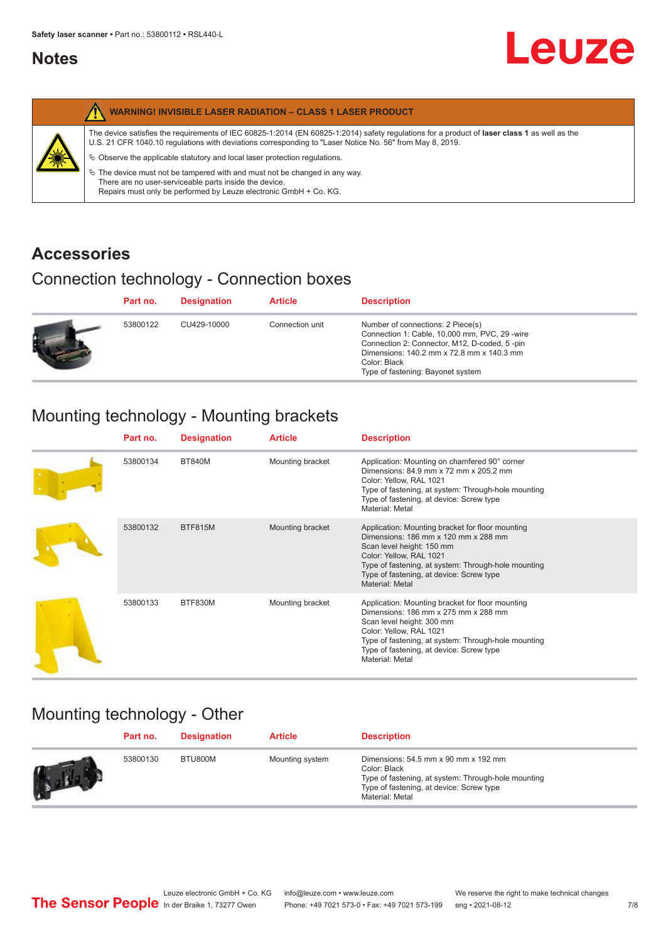### <span id="page-6-0"></span>**Notes**

|   | <b>WARNING! INVISIBLE LASER RADIATION - CLASS 1 LASER PRODUCT</b>                                                                                                                                                                                                                                                                                                                                                                                                                                                                                         |
|---|-----------------------------------------------------------------------------------------------------------------------------------------------------------------------------------------------------------------------------------------------------------------------------------------------------------------------------------------------------------------------------------------------------------------------------------------------------------------------------------------------------------------------------------------------------------|
| 纂 | The device satisfies the requirements of IEC 60825-1:2014 (EN 60825-1:2014) safety regulations for a product of laser class 1 as well as the<br>U.S. 21 CFR 1040.10 regulations with deviations corresponding to "Laser Notice No. 56" from May 8, 2019.<br>$\&$ Observe the applicable statutory and local laser protection regulations.<br>$\%$ The device must not be tampered with and must not be changed in any way.<br>There are no user-serviceable parts inside the device.<br>Repairs must only be performed by Leuze electronic GmbH + Co. KG. |

## **Accessories**

## Connection technology - Connection boxes

|   | Part no. | <b>Designation</b> | <b>Article</b>  | <b>Description</b>                                                                                                                                                                                                                   |
|---|----------|--------------------|-----------------|--------------------------------------------------------------------------------------------------------------------------------------------------------------------------------------------------------------------------------------|
| Ð | 53800122 | CU429-10000        | Connection unit | Number of connections: 2 Piece(s)<br>Connection 1: Cable, 10,000 mm, PVC, 29 -wire<br>Connection 2: Connector, M12, D-coded, 5-pin<br>Dimensions: 140.2 mm x 72.8 mm x 140.3 mm<br>Color: Black<br>Type of fastening: Bayonet system |

## Mounting technology - Mounting brackets

| Part no. | <b>Designation</b> | <b>Article</b>   | <b>Description</b>                                                                                                                                                                                                                                                     |
|----------|--------------------|------------------|------------------------------------------------------------------------------------------------------------------------------------------------------------------------------------------------------------------------------------------------------------------------|
| 53800134 | <b>BT840M</b>      | Mounting bracket | Application: Mounting on chamfered 90° corner<br>Dimensions: 84.9 mm x 72 mm x 205.2 mm<br>Color: Yellow, RAL 1021<br>Type of fastening, at system: Through-hole mounting<br>Type of fastening, at device: Screw type<br>Material: Metal                               |
| 53800132 | <b>BTF815M</b>     | Mounting bracket | Application: Mounting bracket for floor mounting<br>Dimensions: 186 mm x 120 mm x 288 mm<br>Scan level height: 150 mm<br>Color: Yellow, RAL 1021<br>Type of fastening, at system: Through-hole mounting<br>Type of fastening, at device: Screw type<br>Material: Metal |
| 53800133 | BTF830M            | Mounting bracket | Application: Mounting bracket for floor mounting<br>Dimensions: 186 mm x 275 mm x 288 mm<br>Scan level height: 300 mm<br>Color: Yellow, RAL 1021<br>Type of fastening, at system: Through-hole mounting<br>Type of fastening, at device: Screw type<br>Material: Metal |

## Mounting technology - Other

| Part no. | <b>Designation</b> | <b>Article</b>  | <b>Description</b>                                                                                                                                                               |
|----------|--------------------|-----------------|----------------------------------------------------------------------------------------------------------------------------------------------------------------------------------|
| 53800130 | BTU800M            | Mounting system | Dimensions: $54.5$ mm $x$ 90 mm $x$ 192 mm<br>Color: Black<br>Type of fastening, at system: Through-hole mounting<br>Type of fastening, at device: Screw type<br>Material: Metal |

**Leuze**